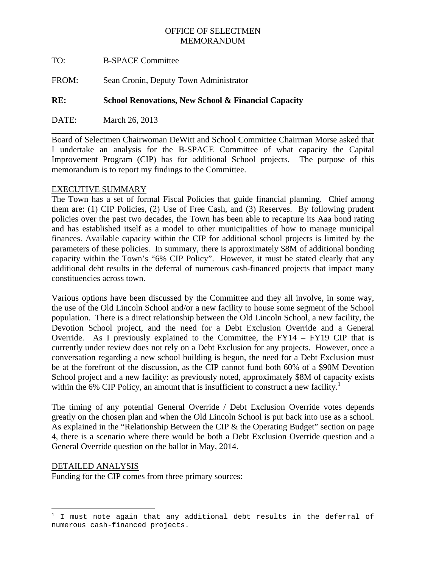# OFFICE OF SELECTMEN MEMORANDUM

- TO: B-SPACE Committee
- FROM: Sean Cronin, Deputy Town Administrator

## **RE: School Renovations, New School & Financial Capacity**

DATE: March 26, 2013

Board of Selectmen Chairwoman DeWitt and School Committee Chairman Morse asked that I undertake an analysis for the B-SPACE Committee of what capacity the Capital Improvement Program (CIP) has for additional School projects. The purpose of this memorandum is to report my findings to the Committee.

\_\_\_\_\_\_\_\_\_\_\_\_\_\_\_\_\_\_\_\_\_\_\_\_\_\_\_\_\_\_\_\_\_\_\_\_\_\_\_\_\_\_\_\_\_\_\_\_\_\_\_\_\_\_\_\_\_\_\_\_\_\_\_\_\_\_\_\_\_\_\_\_\_\_\_

## EXECUTIVE SUMMARY

The Town has a set of formal Fiscal Policies that guide financial planning. Chief among them are: (1) CIP Policies, (2) Use of Free Cash, and (3) Reserves. By following prudent policies over the past two decades, the Town has been able to recapture its Aaa bond rating and has established itself as a model to other municipalities of how to manage municipal finances. Available capacity within the CIP for additional school projects is limited by the parameters of these policies. In summary, there is approximately \$8M of additional bonding capacity within the Town's "6% CIP Policy". However, it must be stated clearly that any additional debt results in the deferral of numerous cash-financed projects that impact many constituencies across town.

Various options have been discussed by the Committee and they all involve, in some way, the use of the Old Lincoln School and/or a new facility to house some segment of the School population. There is a direct relationship between the Old Lincoln School, a new facility, the Devotion School project, and the need for a Debt Exclusion Override and a General Override. As I previously explained to the Committee, the  $FY14 - FY19$  CIP that is currently under review does not rely on a Debt Exclusion for any projects. However, once a conversation regarding a new school building is begun, the need for a Debt Exclusion must be at the forefront of the discussion, as the CIP cannot fund both 60% of a \$90M Devotion School project and a new facility: as previously noted, approximately \$8M of capacity exists within the 6% CIP Policy, an amount that is insufficient to construct a new facility.<sup>1</sup>

The timing of any potential General Override / Debt Exclusion Override votes depends greatly on the chosen plan and when the Old Lincoln School is put back into use as a school. As explained in the "Relationship Between the CIP & the Operating Budget" section on page 4, there is a scenario where there would be both a Debt Exclusion Override question and a General Override question on the ballot in May, 2014.

#### DETAILED ANALYSIS

Funding for the CIP comes from three primary sources:

 1 I must note again that any additional debt results in the deferral of numerous cash-financed projects.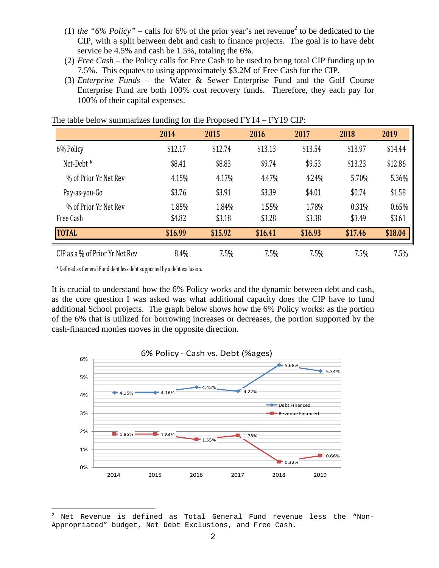- (1) *the "6% Policy"* calls for 6% of the prior year's net revenue<sup>2</sup> to be dedicated to the CIP, with a split between debt and cash to finance projects. The goal is to have debt service be 4.5% and cash be 1.5%, totaling the 6%.
- (2) *Free Cash* the Policy calls for Free Cash to be used to bring total CIP funding up to 7.5%. This equates to using approximately \$3.2M of Free Cash for the CIP.
- (3) *Enterprise Funds* the Water & Sewer Enterprise Fund and the Golf Course Enterprise Fund are both 100% cost recovery funds. Therefore, they each pay for 100% of their capital expenses.

|                                | o       |         |         |         |         |         |
|--------------------------------|---------|---------|---------|---------|---------|---------|
|                                | 2014    | 2015    | 2016    | 2017    | 2018    | 2019    |
| 6% Policy                      | \$12.17 | \$12.74 | \$13.13 | \$13.54 | \$13.97 | \$14.44 |
| Net-Debt <sup>*</sup>          | \$8.41  | \$8.83  | \$9.74  | \$9.53  | \$13.23 | \$12.86 |
| % of Prior Yr Net Rev          | 4.15%   | 4.17%   | 4.47%   | 4.24%   | 5.70%   | 5.36%   |
| Pay-as-you-Go                  | \$3.76  | \$3.91  | \$3.39  | \$4.01  | \$0.74  | \$1.58  |
| % of Prior Yr Net Rev          | 1.85%   | 1.84%   | 1.55%   | 1.78%   | 0.31%   | 0.65%   |
| Free Cash                      | \$4.82  | \$3.18  | \$3.28  | \$3.38  | \$3.49  | \$3.61  |
| <b>TOTAL</b>                   | \$16.99 | \$15.92 | \$16.41 | \$16.93 | \$17.46 | \$18.04 |
| CIP as a % of Prior Yr Net Rev | 8.4%    | 7.5%    | 7.5%    | 7.5%    | 7.5%    | 7.5%    |

# The table below summarizes funding for the Proposed FY14 – FY19 CIP:

\* Defined as General Fund debt less debt supported by a debt exclusion.

It is crucial to understand how the 6% Policy works and the dynamic between debt and cash, as the core question I was asked was what additional capacity does the CIP have to fund additional School projects. The graph below shows how the 6% Policy works: as the portion of the 6% that is utilized for borrowing increases or decreases, the portion supported by the cash-financed monies moves in the opposite direction.



 $\overline{\phantom{0}}$ 2 Net Revenue is defined as Total General Fund revenue less the "Non-Appropriated" budget, Net Debt Exclusions, and Free Cash.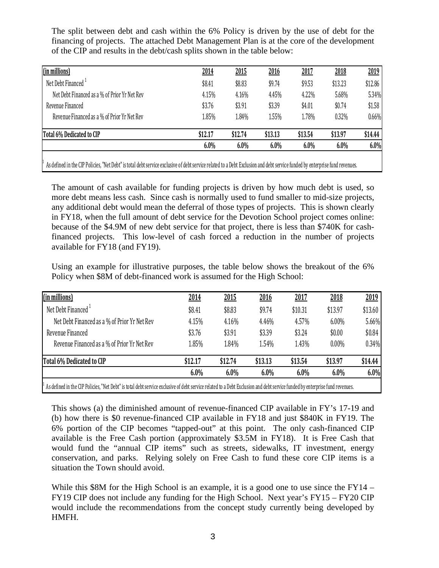The split between debt and cash within the 6% Policy is driven by the use of debt for the financing of projects. The attached Debt Management Plan is at the core of the development of the CIP and results in the debt/cash splits shown in the table below:

| 2014    | 2015    | 2016    | 2017    | 2018    | 2019    |
|---------|---------|---------|---------|---------|---------|
| \$8.41  | \$8.83  | \$9.74  | \$9.53  | \$13.23 | \$12.86 |
| 4.15%   | 4.16%   | 4.45%   | 4.22%   | 5.68%   | 5.34%   |
| \$3.76  | \$3.91  | \$3.39  | \$4.01  | \$0.74  | \$1.58  |
| 1.85%   | 1.84%   | 1.55%   | 1.78%   | 0.32%   | 0.66%   |
| \$12.17 | \$12.74 | \$13.13 | \$13.54 | \$13.97 | \$14.44 |
| 6.0%    | 6.0%    | 6.0%    | 6.0%    | 6.0%    | 6.0%    |
|         |         |         |         |         |         |

As defined in the CIP Policies, "Net Debt" is total debt service exclusive of debt service related to a Debt Exclusion and debt service funded by enterprise fund revenues.

1

The amount of cash available for funding projects is driven by how much debt is used, so more debt means less cash. Since cash is normally used to fund smaller to mid-size projects, any additional debt would mean the deferral of those types of projects. This is shown clearly in FY18, when the full amount of debt service for the Devotion School project comes online: because of the \$4.9M of new debt service for that project, there is less than \$740K for cashfinanced projects. This low-level of cash forced a reduction in the number of projects available for FY18 (and FY19).

Using an example for illustrative purposes, the table below shows the breakout of the 6% Policy when \$8M of debt-financed work is assumed for the High School:

|                                              | 6.0%    | 6.0%    | 6.0%    | 6.0%    | 6.0%     | 6.0%    |
|----------------------------------------------|---------|---------|---------|---------|----------|---------|
| Total 6% Dedicated to CIP                    | \$12.17 | \$12.74 | \$13.13 | \$13.54 | \$13.97  | \$14.44 |
| Revenue Financed as a % of Prior Yr Net Rev  | 1.85%   | 1.84%   | 1.54%   | 1.43%   | $0.00\%$ | 0.34%   |
| Revenue Financed                             | \$3.76  | \$3.91  | \$3.39  | \$3.24  | \$0.00   | \$0.84  |
| Net Debt Financed as a % of Prior Yr Net Rev | 4.15%   | 4.16%   | 4.46%   | 4.57%   | $6.00\%$ | 5.66%   |
| Net Debt Financed <sup>1</sup>               | \$8.41  | \$8.83  | \$9.74  | \$10.31 | \$13.97  | \$13.60 |
| (in millions)                                | 2014    | 2015    | 2016    | 2017    | 2018     | 2019    |

This shows (a) the diminished amount of revenue-financed CIP available in FY's 17-19 and (b) how there is \$0 revenue-financed CIP available in FY18 and just \$840K in FY19. The 6% portion of the CIP becomes "tapped-out" at this point. The only cash-financed CIP available is the Free Cash portion (approximately \$3.5M in FY18). It is Free Cash that would fund the "annual CIP items" such as streets, sidewalks, IT investment, energy conservation, and parks. Relying solely on Free Cash to fund these core CIP items is a situation the Town should avoid.

While this \$8M for the High School is an example, it is a good one to use since the FY14 – FY19 CIP does not include any funding for the High School. Next year's FY15 – FY20 CIP would include the recommendations from the concept study currently being developed by HMFH.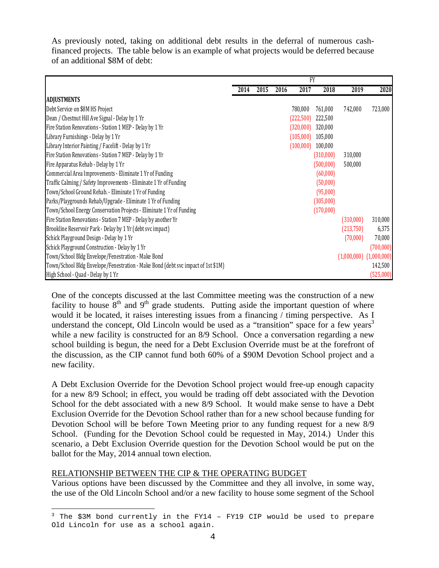As previously noted, taking on additional debt results in the deferral of numerous cashfinanced projects. The table below is an example of what projects would be deferred because of an additional \$8M of debt:

|                                                                                  | <b>FY</b> |      |      |           |                     |             |             |
|----------------------------------------------------------------------------------|-----------|------|------|-----------|---------------------|-------------|-------------|
|                                                                                  | 2014      | 2015 | 2016 | 2017      | 2018                | 2019        | 2020        |
| <b>ADJUSTMENTS</b>                                                               |           |      |      |           |                     |             |             |
| Debt Service on \$8M HS Project                                                  |           |      |      | 780,000   | 761,000             | 742,000     | 723,000     |
| Dean / Chestnut Hill Ave Signal - Delay by 1 Yr                                  |           |      |      | (222,500) | 222,500             |             |             |
| Fire Station Renovations - Station 1 MEP - Delay by 1 Yr                         |           |      |      | (320,000) | 320,000             |             |             |
| Library Furnishings - Delay by 1 Yr                                              |           |      |      |           | $(105,000)$ 105,000 |             |             |
| Library Interior Painting / Facelift - Delay by 1 Yr                             |           |      |      | (100,000) | 100,000             |             |             |
| Fire Station Renovations - Station 7 MEP - Delay by 1 Yr                         |           |      |      |           | (310,000)           | 310,000     |             |
| Fire Apparatus Rehab - Delay by 1 Yr                                             |           |      |      |           | (500,000)           | 500,000     |             |
| Commercial Area Improvements - Eliminate 1 Yr of Funding                         |           |      |      |           | (60,000)            |             |             |
| Traffic Calming / Safety Improvements - Eliminate 1 Yr of Funding                |           |      |      |           | (50,000)            |             |             |
| Town/School Ground Rehab. - Eliminate 1 Yr of Funding                            |           |      |      |           | (95,000)            |             |             |
| Parks/Playgrounds Rehab/Upgrade - Eliminate 1 Yr of Funding                      |           |      |      |           | (305,000)           |             |             |
| Town/School Energy Conservation Projects - Eliminate 1 Yr of Funding             |           |      |      |           | (170,000)           |             |             |
| Fire Station Renovations - Station 7 MEP - Delay by another Yr                   |           |      |      |           |                     | (310,000)   | 310,000     |
| Brookline Reservoir Park - Delay by 1 Yr (debt svc impact)                       |           |      |      |           |                     | (213,750)   | 6,375       |
| Schick Playground Design - Delay by 1 Yr                                         |           |      |      |           |                     | (70,000)    | 70,000      |
| Schick Playground Construction - Delay by 1 Yr                                   |           |      |      |           |                     |             | (700,000)   |
| Town/School Bldg Envelope/Fenestration - Make Bond                               |           |      |      |           |                     | (1,000,000) | (1,000,000) |
| Town/School Bldg Envelope/Fenestration - Make Bond (debt svc impact of 1st \$1M) |           |      |      |           |                     |             | 142,500     |
| High School - Quad - Delay by 1 Yr                                               |           |      |      |           |                     |             | (525,000)   |

One of the concepts discussed at the last Committee meeting was the construction of a new facility to house  $8<sup>th</sup>$  and  $9<sup>th</sup>$  grade students. Putting aside the important question of where would it be located, it raises interesting issues from a financing / timing perspective. As I understand the concept, Old Lincoln would be used as a "transition" space for a few years<sup>3</sup> while a new facility is constructed for an 8/9 School. Once a conversation regarding a new school building is begun, the need for a Debt Exclusion Override must be at the forefront of the discussion, as the CIP cannot fund both 60% of a \$90M Devotion School project and a new facility.

A Debt Exclusion Override for the Devotion School project would free-up enough capacity for a new 8/9 School; in effect, you would be trading off debt associated with the Devotion School for the debt associated with a new 8/9 School. It would make sense to have a Debt Exclusion Override for the Devotion School rather than for a new school because funding for Devotion School will be before Town Meeting prior to any funding request for a new 8/9 School. (Funding for the Devotion School could be requested in May, 2014.) Under this scenario, a Debt Exclusion Override question for the Devotion School would be put on the ballot for the May, 2014 annual town election.

## RELATIONSHIP BETWEEN THE CIP & THE OPERATING BUDGET

Various options have been discussed by the Committee and they all involve, in some way, the use of the Old Lincoln School and/or a new facility to house some segment of the School

 3 The \$3M bond currently in the FY14 – FY19 CIP would be used to prepare Old Lincoln for use as a school again.